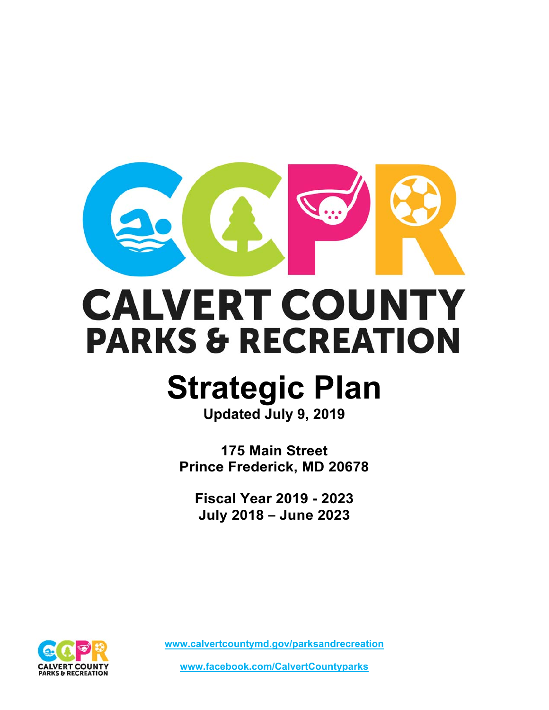

# **CALVERT COUNTY PARKS & RECREATION**

# **Strategic Plan**

**Updated July 9, 2019**

**175 Main Street Prince Frederick, MD 20678** 

**Fiscal Year 2019 - 2023 July 2018 – June 2023** 



**www.calvertcountymd.gov/parksandrecreation** 

**www.facebook.com/CalvertCountyparks**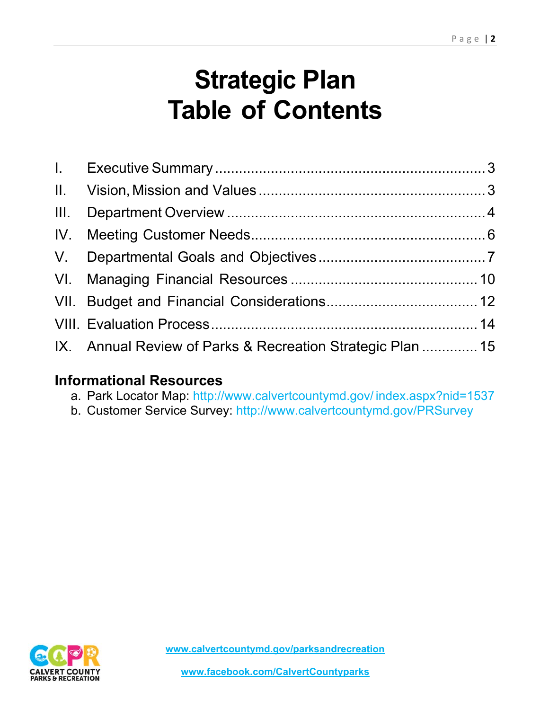# **Strategic Plan Table of Contents**

| IX. Annual Review of Parks & Recreation Strategic Plan  15 |  |
|------------------------------------------------------------|--|

# **Informational Resources**

- a. Park Locator Map: http://www.calvertcountymd.gov/ index.aspx?nid=1537
- b. Customer Service Survey: http://www.calvertcountymd.gov/PRSurvey

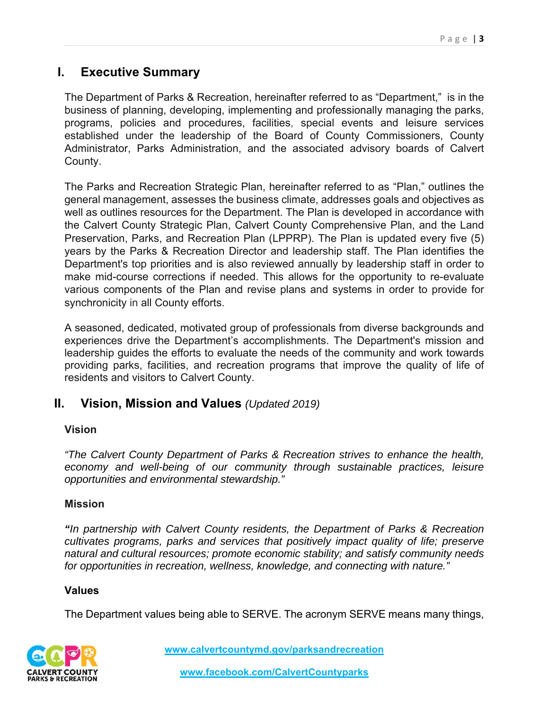## **I. Executive Summary**

The Department of Parks & Recreation, hereinafter referred to as "Department," is in the business of planning, developing, implementing and professionally managing the parks, programs, policies and procedures, facilities, special events and leisure services established under the leadership of the Board of County Commissioners, County Administrator, Parks Administration, and the associated advisory boards of Calvert County.

The Parks and Recreation Strategic Plan, hereinafter referred to as "Plan," outlines the general management, assesses the business climate, addresses goals and objectives as well as outlines resources for the Department. The Plan is developed in accordance with the Calvert County Strategic Plan, Calvert County Comprehensive Plan, and the Land Preservation, Parks, and Recreation Plan (LPPRP). The Plan is updated every five (5) years by the Parks & Recreation Director and leadership staff. The Plan identifies the Department's top priorities and is also reviewed annually by leadership staff in order to make mid-course corrections if needed. This allows for the opportunity to re-evaluate various components of the Plan and revise plans and systems in order to provide for synchronicity in all County efforts.

A seasoned, dedicated, motivated group of professionals from diverse backgrounds and experiences drive the Department's accomplishments. The Department's mission and leadership guides the efforts to evaluate the needs of the community and work towards providing parks, facilities, and recreation programs that improve the quality of life of residents and visitors to Calvert County.

## **II. Vision, Mission and Values** *(Updated 2019)*

#### **Vision**

*"The Calvert County Department of Parks & Recreation strives to enhance the health, economy and well-being of our community through sustainable practices, leisure opportunities and environmental stewardship."* 

#### **Mission**

*"In partnership with Calvert County residents, the Department of Parks & Recreation cultivates programs, parks and services that positively impact quality of life; preserve natural and cultural resources; promote economic stability; and satisfy community needs for opportunities in recreation, wellness, knowledge, and connecting with nature."* 

#### **Values**

The Department values being able to SERVE. The acronym SERVE means many things,

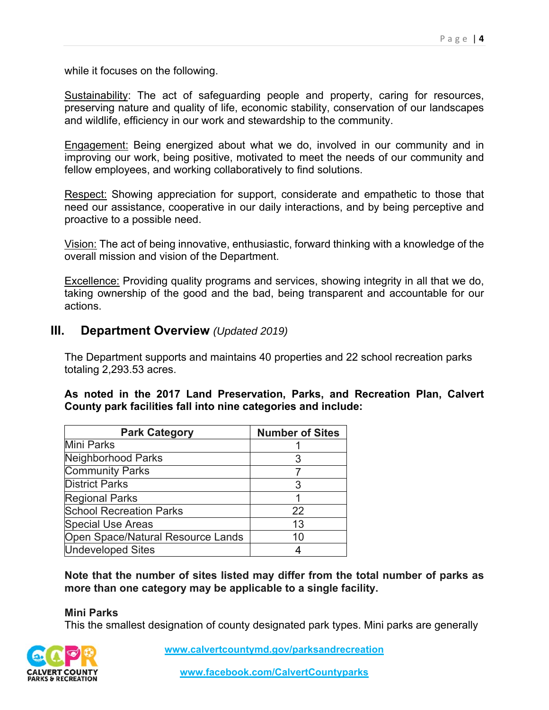while it focuses on the following.

Sustainability: The act of safeguarding people and property, caring for resources, preserving nature and quality of life, economic stability, conservation of our landscapes and wildlife, efficiency in our work and stewardship to the community.

Engagement: Being energized about what we do, involved in our community and in improving our work, being positive, motivated to meet the needs of our community and fellow employees, and working collaboratively to find solutions.

Respect: Showing appreciation for support, considerate and empathetic to those that need our assistance, cooperative in our daily interactions, and by being perceptive and proactive to a possible need.

Vision: The act of being innovative, enthusiastic, forward thinking with a knowledge of the overall mission and vision of the Department.

Excellence: Providing quality programs and services, showing integrity in all that we do, taking ownership of the good and the bad, being transparent and accountable for our actions.

#### **III. Department Overview** *(Updated 2019)*

The Department supports and maintains 40 properties and 22 school recreation parks totaling 2,293.53 acres.

#### **As noted in the 2017 Land Preservation, Parks, and Recreation Plan, Calvert County park facilities fall into nine categories and include:**

| <b>Park Category</b>              | <b>Number of Sites</b> |
|-----------------------------------|------------------------|
| Mini Parks                        |                        |
| Neighborhood Parks                |                        |
| <b>Community Parks</b>            |                        |
| <b>District Parks</b>             |                        |
| <b>Regional Parks</b>             |                        |
| <b>School Recreation Parks</b>    | 22                     |
| <b>Special Use Areas</b>          | 13                     |
| Open Space/Natural Resource Lands | 10                     |
| <b>Undeveloped Sites</b>          |                        |

**Note that the number of sites listed may differ from the total number of parks as more than one category may be applicable to a single facility.** 

#### **Mini Parks**

This the smallest designation of county designated park types. Mini parks are generally

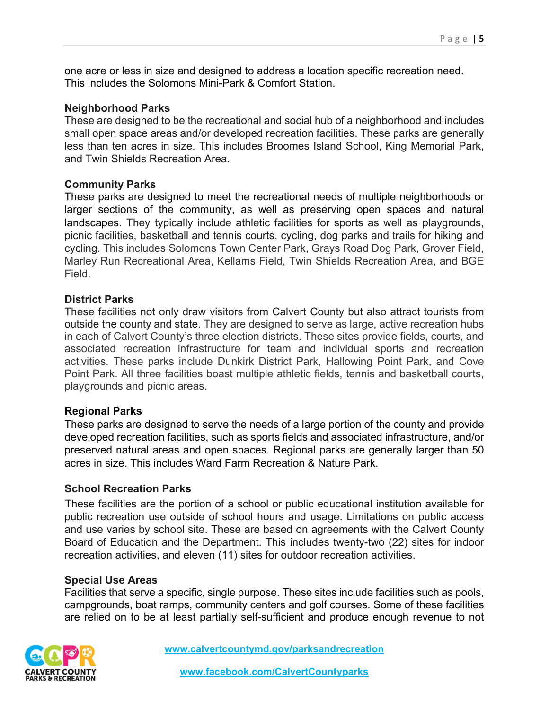one acre or less in size and designed to address a location specific recreation need. This includes the Solomons Mini-Park & Comfort Station.

#### **Neighborhood Parks**

These are designed to be the recreational and social hub of a neighborhood and includes small open space areas and/or developed recreation facilities. These parks are generally less than ten acres in size. This includes Broomes Island School, King Memorial Park, and Twin Shields Recreation Area.

#### **Community Parks**

These parks are designed to meet the recreational needs of multiple neighborhoods or larger sections of the community, as well as preserving open spaces and natural landscapes. They typically include athletic facilities for sports as well as playgrounds, picnic facilities, basketball and tennis courts, cycling, dog parks and trails for hiking and cycling. This includes Solomons Town Center Park, Grays Road Dog Park, Grover Field, Marley Run Recreational Area, Kellams Field, Twin Shields Recreation Area, and BGE Field.

#### **District Parks**

These facilities not only draw visitors from Calvert County but also attract tourists from outside the county and state. They are designed to serve as large, active recreation hubs in each of Calvert County's three election districts. These sites provide fields, courts, and associated recreation infrastructure for team and individual sports and recreation activities. These parks include Dunkirk District Park, Hallowing Point Park, and Cove Point Park. All three facilities boast multiple athletic fields, tennis and basketball courts, playgrounds and picnic areas.

#### **Regional Parks**

These parks are designed to serve the needs of a large portion of the county and provide developed recreation facilities, such as sports fields and associated infrastructure, and/or preserved natural areas and open spaces. Regional parks are generally larger than 50 acres in size. This includes Ward Farm Recreation & Nature Park.

#### **School Recreation Parks**

These facilities are the portion of a school or public educational institution available for public recreation use outside of school hours and usage. Limitations on public access and use varies by school site. These are based on agreements with the Calvert County Board of Education and the Department. This includes twenty-two (22) sites for indoor recreation activities, and eleven (11) sites for outdoor recreation activities.

#### **Special Use Areas**

Facilities that serve a specific, single purpose. These sites include facilities such as pools, campgrounds, boat ramps, community centers and golf courses. Some of these facilities are relied on to be at least partially self-sufficient and produce enough revenue to not

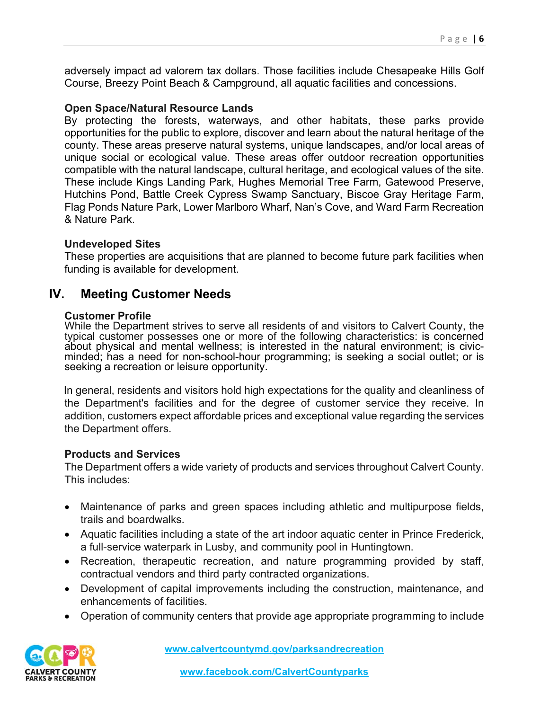adversely impact ad valorem tax dollars. Those facilities include Chesapeake Hills Golf Course, Breezy Point Beach & Campground, all aquatic facilities and concessions.

#### **Open Space/Natural Resource Lands**

By protecting the forests, waterways, and other habitats, these parks provide opportunities for the public to explore, discover and learn about the natural heritage of the county. These areas preserve natural systems, unique landscapes, and/or local areas of unique social or ecological value. These areas offer outdoor recreation opportunities compatible with the natural landscape, cultural heritage, and ecological values of the site. These include Kings Landing Park, Hughes Memorial Tree Farm, Gatewood Preserve, Hutchins Pond, Battle Creek Cypress Swamp Sanctuary, Biscoe Gray Heritage Farm, Flag Ponds Nature Park, Lower Marlboro Wharf, Nan's Cove, and Ward Farm Recreation & Nature Park.

#### **Undeveloped Sites**

These properties are acquisitions that are planned to become future park facilities when funding is available for development.

#### **IV. Meeting Customer Needs**

#### **Customer Profile**

While the Department strives to serve all residents of and visitors to Calvert County, the typical customer possesses one or more of the following characteristics: is concerned about physical and mental wellness; is interested in the natural environment; is civicminded; has a need for non-school-hour programming; is seeking a social outlet; or is seeking a recreation or leisure opportunity.

In general, residents and visitors hold high expectations for the quality and cleanliness of the Department's facilities and for the degree of customer service they receive. In addition, customers expect affordable prices and exceptional value regarding the services the Department offers.

#### **Products and Services**

The Department offers a wide variety of products and services throughout Calvert County. This includes:

- Maintenance of parks and green spaces including athletic and multipurpose fields, trails and boardwalks.
- Aquatic facilities including a state of the art indoor aquatic center in Prince Frederick, a full-service waterpark in Lusby, and community pool in Huntingtown.
- Recreation, therapeutic recreation, and nature programming provided by staff, contractual vendors and third party contracted organizations.
- Development of capital improvements including the construction, maintenance, and enhancements of facilities.
- Operation of community centers that provide age appropriate programming to include

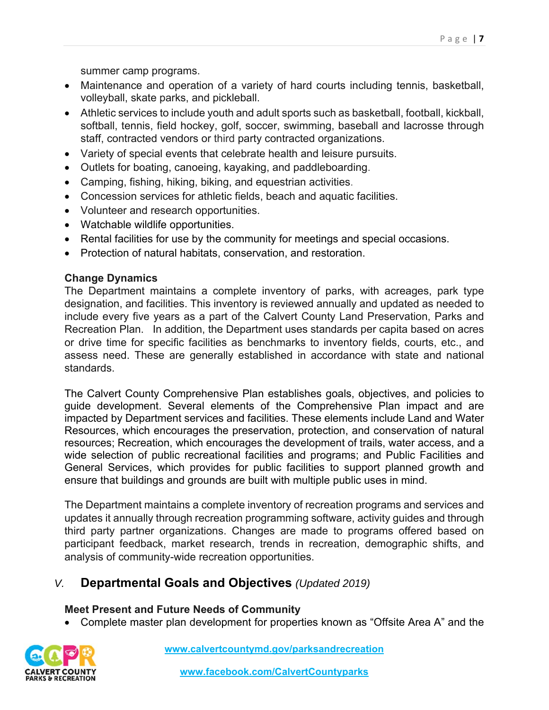summer camp programs.

- Maintenance and operation of a variety of hard courts including tennis, basketball, volleyball, skate parks, and pickleball.
- Athletic services to include youth and adult sports such as basketball, football, kickball, softball, tennis, field hockey, golf, soccer, swimming, baseball and lacrosse through staff, contracted vendors or third party contracted organizations.
- Variety of special events that celebrate health and leisure pursuits.
- Outlets for boating, canoeing, kayaking, and paddleboarding.
- Camping, fishing, hiking, biking, and equestrian activities.
- Concession services for athletic fields, beach and aquatic facilities.
- Volunteer and research opportunities.
- Watchable wildlife opportunities.
- Rental facilities for use by the community for meetings and special occasions.
- Protection of natural habitats, conservation, and restoration.

#### **Change Dynamics**

The Department maintains a complete inventory of parks, with acreages, park type designation, and facilities. This inventory is reviewed annually and updated as needed to include every five years as a part of the Calvert County Land Preservation, Parks and Recreation Plan. In addition, the Department uses standards per capita based on acres or drive time for specific facilities as benchmarks to inventory fields, courts, etc., and assess need. These are generally established in accordance with state and national standards.

The Calvert County Comprehensive Plan establishes goals, objectives, and policies to guide development. Several elements of the Comprehensive Plan impact and are impacted by Department services and facilities. These elements include Land and Water Resources, which encourages the preservation, protection, and conservation of natural resources; Recreation, which encourages the development of trails, water access, and a wide selection of public recreational facilities and programs; and Public Facilities and General Services, which provides for public facilities to support planned growth and ensure that buildings and grounds are built with multiple public uses in mind.

The Department maintains a complete inventory of recreation programs and services and updates it annually through recreation programming software, activity guides and through third party partner organizations. Changes are made to programs offered based on participant feedback, market research, trends in recreation, demographic shifts, and analysis of community-wide recreation opportunities.

#### *V.* **Departmental Goals and Objectives** *(Updated 2019)*

#### **Meet Present and Future Needs of Community**

Complete master plan development for properties known as "Offsite Area A" and the

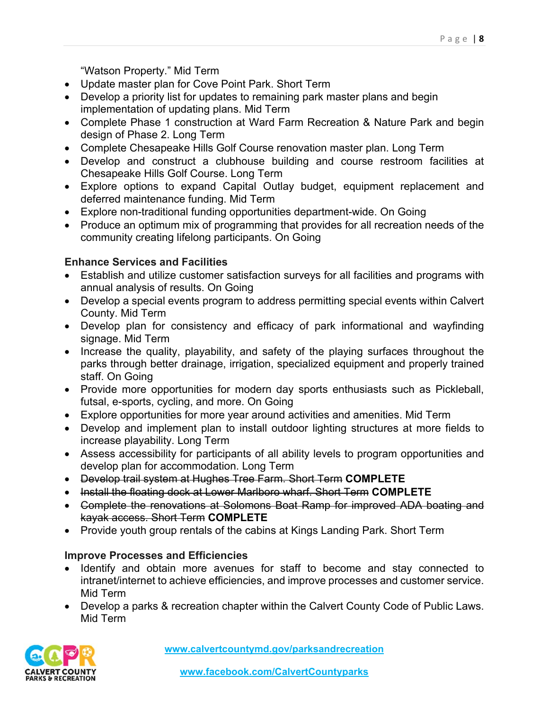"Watson Property." Mid Term

- Update master plan for Cove Point Park. Short Term
- Develop a priority list for updates to remaining park master plans and begin implementation of updating plans. Mid Term
- Complete Phase 1 construction at Ward Farm Recreation & Nature Park and begin design of Phase 2. Long Term
- Complete Chesapeake Hills Golf Course renovation master plan. Long Term
- Develop and construct a clubhouse building and course restroom facilities at Chesapeake Hills Golf Course. Long Term
- Explore options to expand Capital Outlay budget, equipment replacement and deferred maintenance funding. Mid Term
- Explore non-traditional funding opportunities department-wide. On Going
- Produce an optimum mix of programming that provides for all recreation needs of the community creating lifelong participants. On Going

#### **Enhance Services and Facilities**

- Establish and utilize customer satisfaction surveys for all facilities and programs with annual analysis of results. On Going
- Develop a special events program to address permitting special events within Calvert County. Mid Term
- Develop plan for consistency and efficacy of park informational and wayfinding signage. Mid Term
- Increase the quality, playability, and safety of the playing surfaces throughout the parks through better drainage, irrigation, specialized equipment and properly trained staff. On Going
- Provide more opportunities for modern day sports enthusiasts such as Pickleball, futsal, e-sports, cycling, and more. On Going
- Explore opportunities for more year around activities and amenities. Mid Term
- Develop and implement plan to install outdoor lighting structures at more fields to increase playability. Long Term
- Assess accessibility for participants of all ability levels to program opportunities and develop plan for accommodation. Long Term
- Develop trail system at Hughes Tree Farm. Short Term **COMPLETE**
- Install the floating dock at Lower Marlboro wharf. Short Term **COMPLETE**
- Complete the renovations at Solomons Boat Ramp for improved ADA boating and kayak access. Short Term **COMPLETE**
- Provide youth group rentals of the cabins at Kings Landing Park. Short Term

#### **Improve Processes and Efficiencies**

- Identify and obtain more avenues for staff to become and stay connected to intranet/internet to achieve efficiencies, and improve processes and customer service. Mid Term
- Develop a parks & recreation chapter within the Calvert County Code of Public Laws. Mid Term

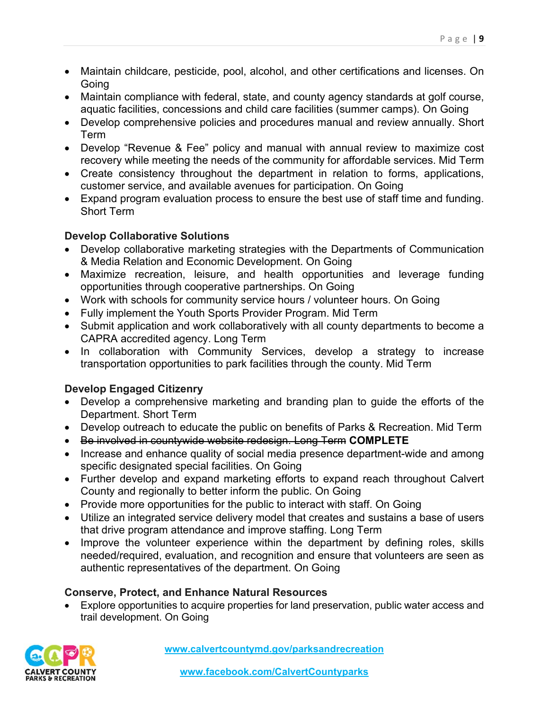- Maintain childcare, pesticide, pool, alcohol, and other certifications and licenses. On Going
- Maintain compliance with federal, state, and county agency standards at golf course, aquatic facilities, concessions and child care facilities (summer camps). On Going
- Develop comprehensive policies and procedures manual and review annually. Short Term
- Develop "Revenue & Fee" policy and manual with annual review to maximize cost recovery while meeting the needs of the community for affordable services. Mid Term
- Create consistency throughout the department in relation to forms, applications, customer service, and available avenues for participation. On Going
- Expand program evaluation process to ensure the best use of staff time and funding. Short Term

#### **Develop Collaborative Solutions**

- Develop collaborative marketing strategies with the Departments of Communication & Media Relation and Economic Development. On Going
- Maximize recreation, leisure, and health opportunities and leverage funding opportunities through cooperative partnerships. On Going
- Work with schools for community service hours / volunteer hours. On Going
- Fully implement the Youth Sports Provider Program. Mid Term
- Submit application and work collaboratively with all county departments to become a CAPRA accredited agency. Long Term
- In collaboration with Community Services, develop a strategy to increase transportation opportunities to park facilities through the county. Mid Term

#### **Develop Engaged Citizenry**

- Develop a comprehensive marketing and branding plan to guide the efforts of the Department. Short Term
- Develop outreach to educate the public on benefits of Parks & Recreation. Mid Term
- Be involved in countywide website redesign. Long Term **COMPLETE**
- Increase and enhance quality of social media presence department-wide and among specific designated special facilities. On Going
- Further develop and expand marketing efforts to expand reach throughout Calvert County and regionally to better inform the public. On Going
- Provide more opportunities for the public to interact with staff. On Going
- Utilize an integrated service delivery model that creates and sustains a base of users that drive program attendance and improve staffing. Long Term
- Improve the volunteer experience within the department by defining roles, skills needed/required, evaluation, and recognition and ensure that volunteers are seen as authentic representatives of the department. On Going

#### **Conserve, Protect, and Enhance Natural Resources**

 Explore opportunities to acquire properties for land preservation, public water access and trail development. On Going

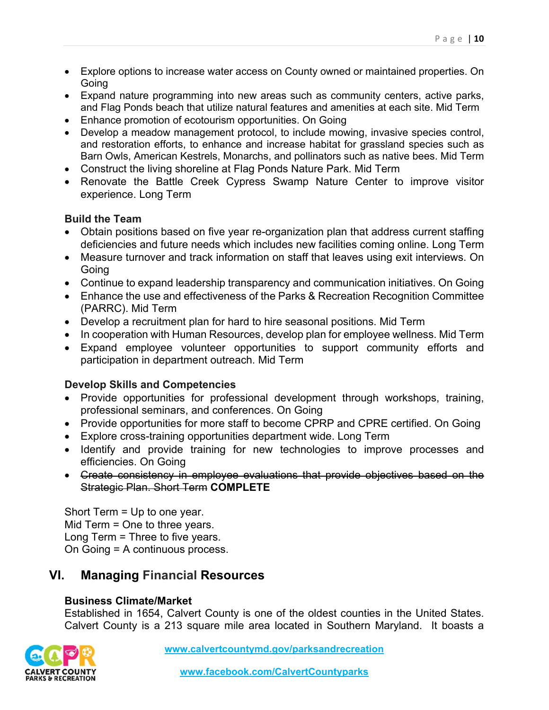- Explore options to increase water access on County owned or maintained properties. On Going
- Expand nature programming into new areas such as community centers, active parks, and Flag Ponds beach that utilize natural features and amenities at each site. Mid Term
- Enhance promotion of ecotourism opportunities. On Going
- Develop a meadow management protocol, to include mowing, invasive species control, and restoration efforts, to enhance and increase habitat for grassland species such as Barn Owls, American Kestrels, Monarchs, and pollinators such as native bees. Mid Term
- Construct the living shoreline at Flag Ponds Nature Park. Mid Term
- Renovate the Battle Creek Cypress Swamp Nature Center to improve visitor experience. Long Term

#### **Build the Team**

- Obtain positions based on five year re-organization plan that address current staffing deficiencies and future needs which includes new facilities coming online. Long Term
- Measure turnover and track information on staff that leaves using exit interviews. On Going
- Continue to expand leadership transparency and communication initiatives. On Going
- Enhance the use and effectiveness of the Parks & Recreation Recognition Committee (PARRC). Mid Term
- Develop a recruitment plan for hard to hire seasonal positions. Mid Term
- In cooperation with Human Resources, develop plan for employee wellness. Mid Term
- Expand employee volunteer opportunities to support community efforts and participation in department outreach. Mid Term

#### **Develop Skills and Competencies**

- Provide opportunities for professional development through workshops, training, professional seminars, and conferences. On Going
- Provide opportunities for more staff to become CPRP and CPRE certified. On Going
- Explore cross-training opportunities department wide. Long Term
- Identify and provide training for new technologies to improve processes and efficiencies. On Going
- Create consistency in employee evaluations that provide objectives based on the Strategic Plan. Short Term **COMPLETE**

Short Term = Up to one year. Mid Term = One to three years. Long Term = Three to five years. On Going = A continuous process.

## **VI. Managing Financial Resources**

#### **Business Climate/Market**

Established in 1654, Calvert County is one of the oldest counties in the United States. Calvert County is a 213 square mile area located in Southern Maryland. It boasts a

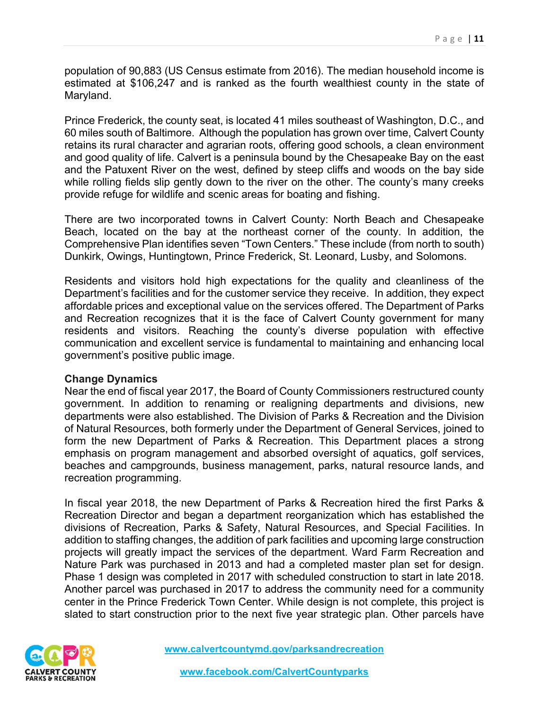population of 90,883 (US Census estimate from 2016). The median household income is estimated at \$106,247 and is ranked as the fourth wealthiest county in the state of Maryland.

Prince Frederick, the county seat, is located 41 miles southeast of Washington, D.C., and 60 miles south of Baltimore. Although the population has grown over time, Calvert County retains its rural character and agrarian roots, offering good schools, a clean environment and good quality of life. Calvert is a peninsula bound by the Chesapeake Bay on the east and the Patuxent River on the west, defined by steep cliffs and woods on the bay side while rolling fields slip gently down to the river on the other. The county's many creeks provide refuge for wildlife and scenic areas for boating and fishing.

There are two incorporated towns in Calvert County: North Beach and Chesapeake Beach, located on the bay at the northeast corner of the county. In addition, the Comprehensive Plan identifies seven "Town Centers." These include (from north to south) Dunkirk, Owings, Huntingtown, Prince Frederick, St. Leonard, Lusby, and Solomons.

Residents and visitors hold high expectations for the quality and cleanliness of the Department's facilities and for the customer service they receive. In addition, they expect affordable prices and exceptional value on the services offered. The Department of Parks and Recreation recognizes that it is the face of Calvert County government for many residents and visitors. Reaching the county's diverse population with effective communication and excellent service is fundamental to maintaining and enhancing local government's positive public image.

#### **Change Dynamics**

Near the end of fiscal year 2017, the Board of County Commissioners restructured county government. In addition to renaming or realigning departments and divisions, new departments were also established. The Division of Parks & Recreation and the Division of Natural Resources, both formerly under the Department of General Services, joined to form the new Department of Parks & Recreation. This Department places a strong emphasis on program management and absorbed oversight of aquatics, golf services, beaches and campgrounds, business management, parks, natural resource lands, and recreation programming.

In fiscal year 2018, the new Department of Parks & Recreation hired the first Parks & Recreation Director and began a department reorganization which has established the divisions of Recreation, Parks & Safety, Natural Resources, and Special Facilities. In addition to staffing changes, the addition of park facilities and upcoming large construction projects will greatly impact the services of the department. Ward Farm Recreation and Nature Park was purchased in 2013 and had a completed master plan set for design. Phase 1 design was completed in 2017 with scheduled construction to start in late 2018. Another parcel was purchased in 2017 to address the community need for a community center in the Prince Frederick Town Center. While design is not complete, this project is slated to start construction prior to the next five year strategic plan. Other parcels have

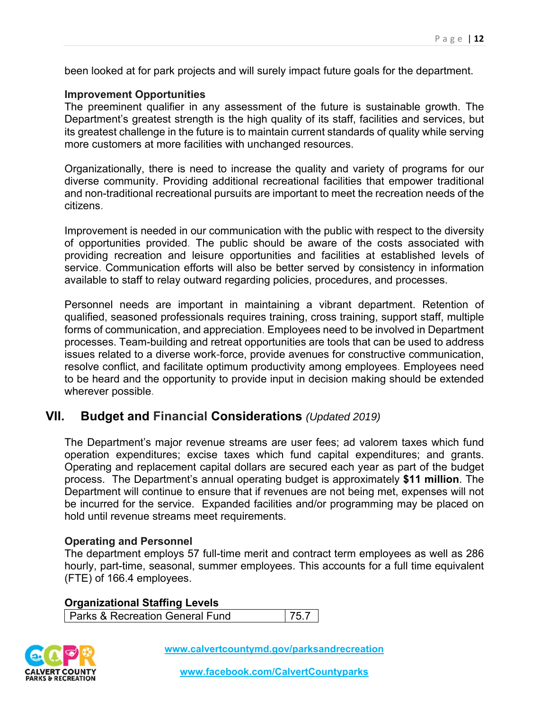been looked at for park projects and will surely impact future goals for the department.

#### **Improvement Opportunities**

The preeminent qualifier in any assessment of the future is sustainable growth. The Department's greatest strength is the high quality of its staff, facilities and services, but its greatest challenge in the future is to maintain current standards of quality while serving more customers at more facilities with unchanged resources.

Organizationally, there is need to increase the quality and variety of programs for our diverse community. Providing additional recreational facilities that empower traditional and non-traditional recreational pursuits are important to meet the recreation needs of the citizens.

Improvement is needed in our communication with the public with respect to the diversity of opportunities provided. The public should be aware of the costs associated with providing recreation and leisure opportunities and facilities at established levels of service. Communication efforts will also be better served by consistency in information available to staff to relay outward regarding policies, procedures, and processes.

Personnel needs are important in maintaining a vibrant department. Retention of qualified, seasoned professionals requires training, cross training, support staff, multiple forms of communication, and appreciation. Employees need to be involved in Department processes. Team-building and retreat opportunities are tools that can be used to address issues related to a diverse work-force, provide avenues for constructive communication, resolve conflict, and facilitate optimum productivity among employees. Employees need to be heard and the opportunity to provide input in decision making should be extended wherever possible.

#### **VII. Budget and Financial Considerations** *(Updated 2019)*

The Department's major revenue streams are user fees; ad valorem taxes which fund operation expenditures; excise taxes which fund capital expenditures; and grants. Operating and replacement capital dollars are secured each year as part of the budget process. The Department's annual operating budget is approximately **\$11 million**. The Department will continue to ensure that if revenues are not being met, expenses will not be incurred for the service. Expanded facilities and/or programming may be placed on hold until revenue streams meet requirements.

#### **Operating and Personnel**

The department employs 57 full-time merit and contract term employees as well as 286 hourly, part-time, seasonal, summer employees. This accounts for a full time equivalent (FTE) of 166.4 employees.

#### **Organizational Staffing Levels**

Parks & Recreation General Fund 75.7

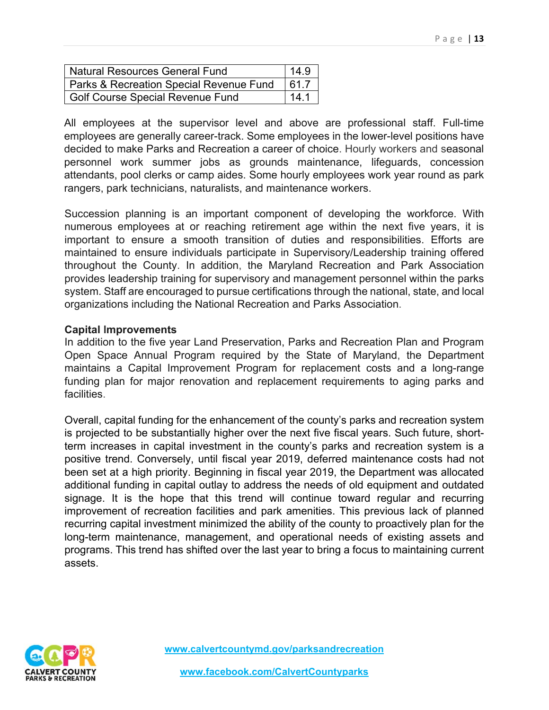| Natural Resources General Fund                   |  |
|--------------------------------------------------|--|
| Parks & Recreation Special Revenue Fund<br>161.7 |  |
| Golf Course Special Revenue Fund                 |  |

All employees at the supervisor level and above are professional staff. Full-time employees are generally career-track. Some employees in the lower-level positions have decided to make Parks and Recreation a career of choice. Hourly workers and seasonal personnel work summer jobs as grounds maintenance, lifeguards, concession attendants, pool clerks or camp aides. Some hourly employees work year round as park rangers, park technicians, naturalists, and maintenance workers.

Succession planning is an important component of developing the workforce. With numerous employees at or reaching retirement age within the next five years, it is important to ensure a smooth transition of duties and responsibilities. Efforts are maintained to ensure individuals participate in Supervisory/Leadership training offered throughout the County. In addition, the Maryland Recreation and Park Association provides leadership training for supervisory and management personnel within the parks system. Staff are encouraged to pursue certifications through the national, state, and local organizations including the National Recreation and Parks Association.

#### **Capital Improvements**

In addition to the five year Land Preservation, Parks and Recreation Plan and Program Open Space Annual Program required by the State of Maryland, the Department maintains a Capital Improvement Program for replacement costs and a long-range funding plan for major renovation and replacement requirements to aging parks and facilities.

Overall, capital funding for the enhancement of the county's parks and recreation system is projected to be substantially higher over the next five fiscal years. Such future, shortterm increases in capital investment in the county's parks and recreation system is a positive trend. Conversely, until fiscal year 2019, deferred maintenance costs had not been set at a high priority. Beginning in fiscal year 2019, the Department was allocated additional funding in capital outlay to address the needs of old equipment and outdated signage. It is the hope that this trend will continue toward regular and recurring improvement of recreation facilities and park amenities. This previous lack of planned recurring capital investment minimized the ability of the county to proactively plan for the long-term maintenance, management, and operational needs of existing assets and programs. This trend has shifted over the last year to bring a focus to maintaining current assets.

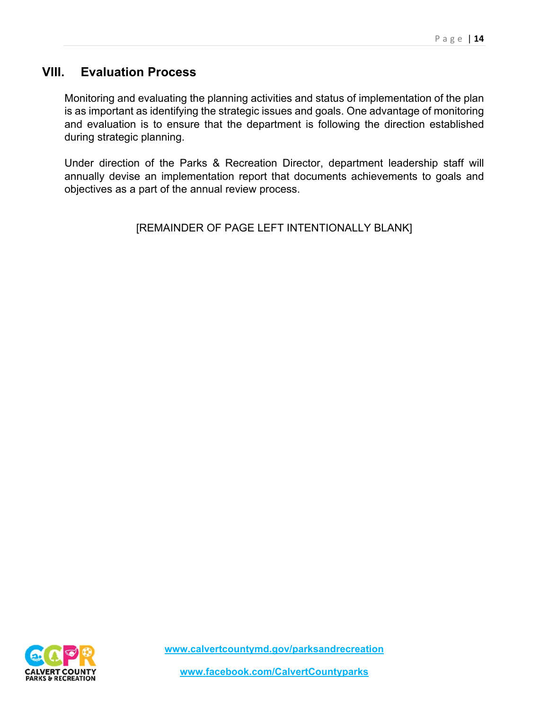#### **VIII. Evaluation Process**

Monitoring and evaluating the planning activities and status of implementation of the plan is as important as identifying the strategic issues and goals. One advantage of monitoring and evaluation is to ensure that the department is following the direction established during strategic planning.

Under direction of the Parks & Recreation Director, department leadership staff will annually devise an implementation report that documents achievements to goals and objectives as a part of the annual review process.

[REMAINDER OF PAGE LEFT INTENTIONALLY BLANK]